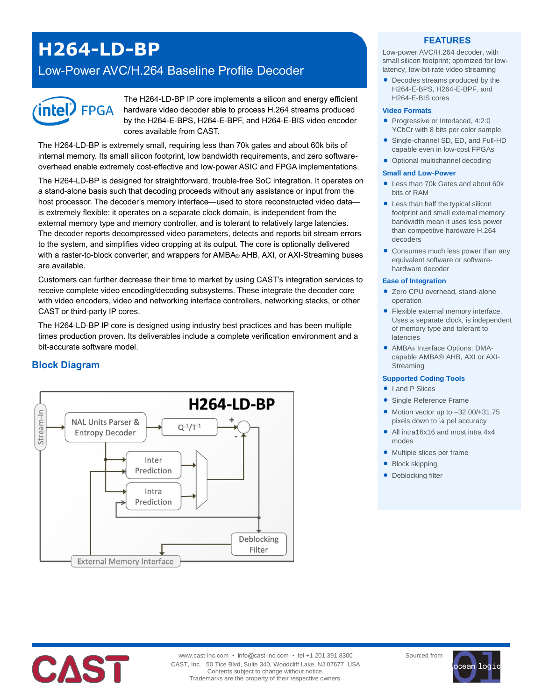# **H264-LD-BP**

Low-Power AVC/H.264 Baseline Profile Decoder



The H264-LD-BP IP core implements a silicon and energy efficient hardware video decoder able to process H.264 streams produced by the H264-E-BPS, H264-E-BPF, and H264-E-BIS video encoder cores available from CAST.

The H264-LD-BP is extremely small, requiring less than 70k gates and about 60k bits of internal memory. Its small silicon footprint, low bandwidth requirements, and zero softwareoverhead enable extremely cost-effective and low-power ASIC and FPGA implementations.

The H264-LD-BP is designed for straightforward, trouble-free SoC integration. It operates on a stand-alone basis such that decoding proceeds without any assistance or input from the host processor. The decoder's memory interface—used to store reconstructed video data is extremely flexible: it operates on a separate clock domain, is independent from the external memory type and memory controller, and is tolerant to relatively large latencies. The decoder reports decompressed video parameters, detects and reports bit stream errors to the system, and simplifies video cropping at its output. The core is optionally delivered with a raster-to-block converter, and wrappers for AMBA® AHB, AXI, or AXI-Streaming buses are available.

Customers can further decrease their time to market by using CAST's integration services to receive complete video encoding/decoding subsystems. These integrate the decoder core with video encoders, video and networking interface controllers, networking stacks, or other CAST or third-party IP cores.

The H264-LD-BP IP core is designed using industry best practices and has been multiple times production proven. Its deliverables include a complete verification environment and a bit-accurate software model.

# **Block Diagram**



### **FEATURES**

Low-power AVC/H.264 decoder, with small silicon footprint; optimized for lowlatency, low-bit-rate video streaming

 Decodes streams produced by the H264-E-BPS, H264-E-BPF, and H264-E-BIS cores

#### **Video Formats**

- Progressive or Interlaced, 4:2:0 YCbCr with 8 bits per color sample
- Single-channel SD, ED, and Full-HD capable even in low-cost FPGAs
- Optional multichannel decoding

#### **Small and Low-Power**

- Less than 70k Gates and about 60k bits of RAM
- Less than half the typical silicon footprint and small external memory bandwidth mean it uses less power than competitive hardware H.264 decoders
- Consumes much less power than any equivalent software or softwarehardware decoder

#### **Ease of Integration**

- Zero CPU overhead, stand-alone operation
- Flexible external memory interface. Uses a separate clock, is independent of memory type and tolerant to latencies
- AMBA® Interface Options: DMAcapable AMBA® AHB, AXI or AXI-Streaming

#### **Supported Coding Tools**

- I and P Slices
- Single Reference Frame
- $\bullet$  Motion vector up to  $-32.00/+31.75$ pixels down to ¼ pel accuracy
- All intra16x16 and most intra 4x4 modes
- Multiple slices per frame
- Block skipping
- Deblocking filter